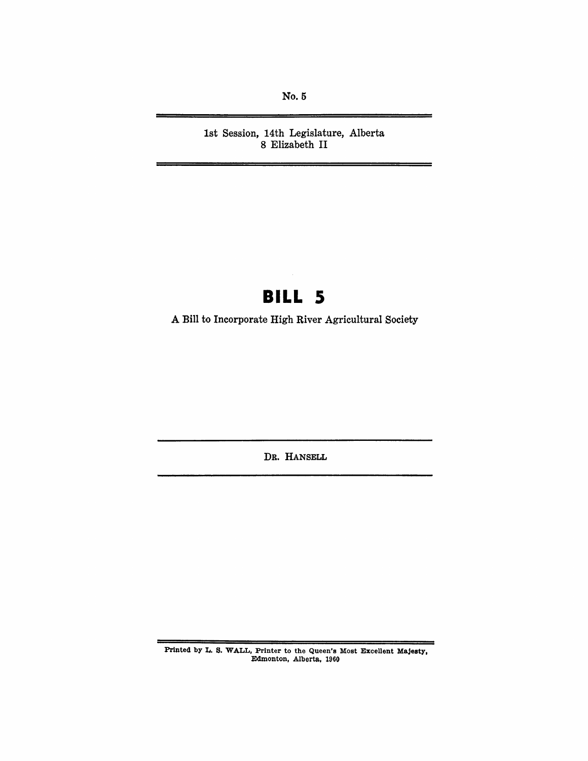No.5

1st Session, 14th Legislature, Alberta 8 Elizabeth II

# **BILL 5**

A Bill to Incorporate High River Agricultural Society

DR. HANSELL

Printed by L. S. WALL, Printer to the Queen's Most Excellent Majesty. Edmonton, Alberta. *1960*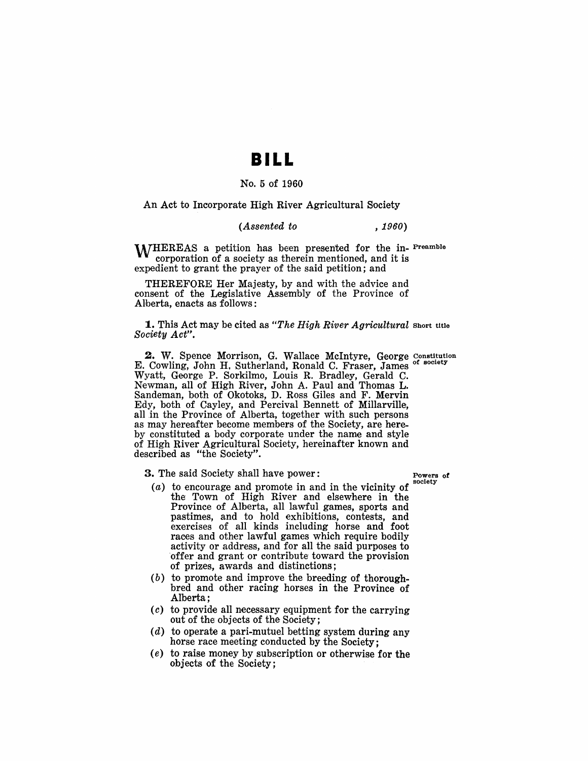### **BILL**

### No.5 of 1960

An Act to Incorporate High River Agricultural Society

#### *(Assented to , 1960)*

M/HEREAS a petition has been presented for the in- Preamble corporation of a society as therein mentioned, and it is expedient to grant the prayer of the said petition; and

THEREFORE Her Majesty, by and with the advice and consent of the Legislative Assembly of the Province of Alberta, enacts as follows:

1. This Act may be cited as *"The High River Agricultural* Short title *Society Act".* 

2. W. Spence Morrison, G. Wallace McIntyre, George Constitution E. Cowling, John H. Sutherland, Ronald C. Fraser, James Wyatt, George P. Sorkilmo, Louis R. Bradley, Gerald C. Newman, all of High River, John A. Paul and Thomas L. Sandeman, both of Okotoks, D. Ross Giles and F. Mervin Edy, both of Cayley, and Percival Bennett of Millarville, all in the Province of Alberta, together with such persons as may hereafter become members of the Society, are hereby constituted a body corporate under the name and style of High River Agricultural Society, hereinafter known and described as "the Society".

**3.** The said Society shall have power:  $\begin{array}{ccc} 2 & \text{Powers of} \\ 2 & \text{Powers of} \end{array}$ 

- $(a)$  to encourage and promote in and in the vicinity of the Town of High River and elsewhere in the Province of Alberta, all lawful games, sports and pastimes, and to hold exhibitions, contests, and exercises of all kinds including horse and foot races and other lawful games which require bodily activity or address, and for all the said purposes to offer and grant or contribute toward the provision of prizes, awards and distinctions;
- (b) to promote and improve the breeding of thoroughbred and other racing horses in the Province of Alberta;
- (c) to provide all necessary equipment for the carrying out of the objects of the Society;
- (d) to operate a pari-mutuel betting system during any horse race meeting conducted by the Society;
- $(e)$  to raise money by subscription or otherwise for the objects of the Society;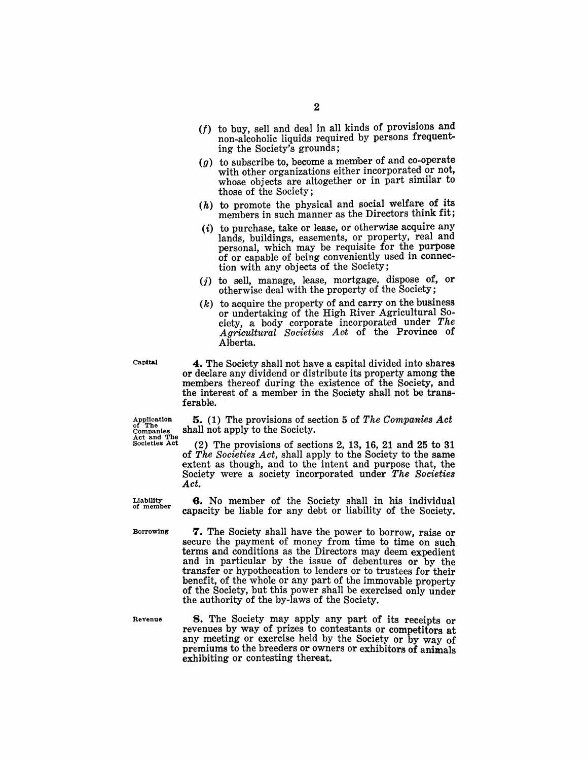- $(f)$  to buy, sell and deal in all kinds of provisions and non-alcoholic liquids required by persons frequenting the Society's grounds;
- (g) to subscribe to, become a member of and co-operate with other organizations either incorporated or not, whose objects are altogether or in part similar to those of the Society;
- $(h)$  to promote the physical and social welfare of its members in such manner as the Directors think fit;
- $(i)$  to purchase, take or lease, or otherwise acquire any lands, buildings, easements, or property, real and personal, which may be requisite for the purpose of or capable of being conveniently used in connection with any objects of the Society;
- $(i)$  to sell, manage, lease, mortgage, dispose of, or otherwise deal with the property of the Society;
- $(k)$  to acquire the property of and carry on the business or undertaking of the High River Agricultural Society, a body corporate incorporated under *The*  Agricultural Societies Act of the Province of Alberta.

Capital

4. The Society shall not have a capital divided into shares or declare any dividend or distribute its property among the members thereof during the existence of the Society, and the interest of a member in the Society shall not be transferable.

Application 5. (1) The provisions of section 5 of *The Companies Act* of The shall not apply to the Society.<br>
Act and The  $\frac{Act}{dt}$  and  $\frac{Te}{2}$  The provisions of sections 2. 13. 16. 21 and 25 to 31 shall not apply to the Society.

 $(2)$  The provisions of sections 2, 13, 16, 21 and 25 to 31 of *The Societies Act,* shall apply to the Society to the same extent as though, and to the intent and purpose that, the Society were a society incorporated under *The Societies Act* 

G. No member of the Society shall in his individual capacity be liable for any debt or liability of the Society.

Liability of member

Borrowing

7. The Society shall have the power to borrow, raise or secure the payment of money from time to time on such terms and conditions as the Directors may deem expedient and in particular by the issue of debentures or by the transfer or hypothecation to lenders or to trustees for their benefit, of the whole or any part of the immovable property of the Society, but this power shall be exercised only under the authority of the by-laws of the Society.

Revenue

8. The Society may apply any part of its receipts or revenues by way of prizes to contestants or competitors at any meeting or exercise held by the Society or by way of premiums to the breeders or owners or exhibitors of animals exhibiting or contesting thereat.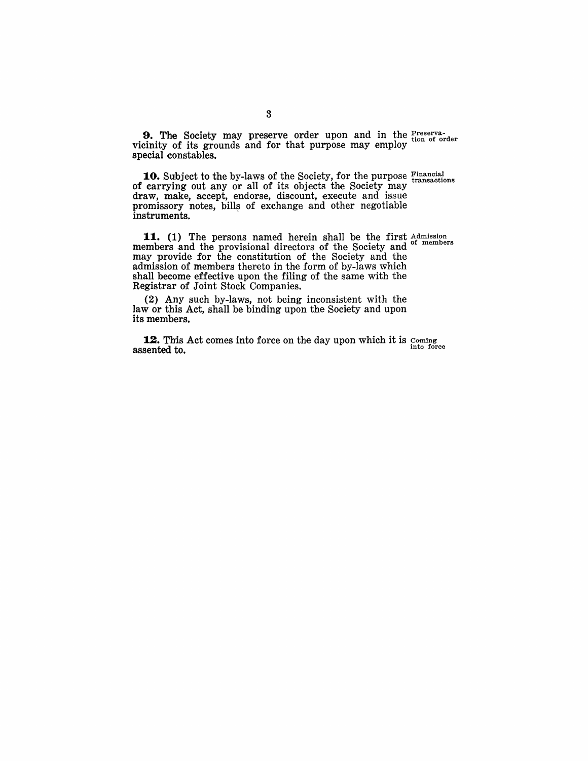**9.** The Society may preserve order upon and in the Preserva-<br>cinity of its grounds and for that numbers may ampley tion of order vicinity of its grounds and for that purpose may employ special constables.

**10.** Subject to the by-laws of the Society, for the purpose Financial of carrying out any or all of its objects the Society may draw, make, accept, endorse, discount, execute and issue promissory notes, bills of exchange and other negotiable instruments.

**11.** (1) The persons named herein shall be the first Admission members and the provisional directors of the Society and <sup>of members</sup> members and the provisional directors of the Society and may provide for the constitution of the Society and the admission of members thereto in the form of by-laws which shall become effective upon the filing of the same with the Registrar of Joint Stock Companies.

(2) Any such by-laws, not being inconsistent with the law or this Act, shall be binding upon the Society and upon its members.

**12.** This Act comes into force on the day upon which it is Coming assented to.